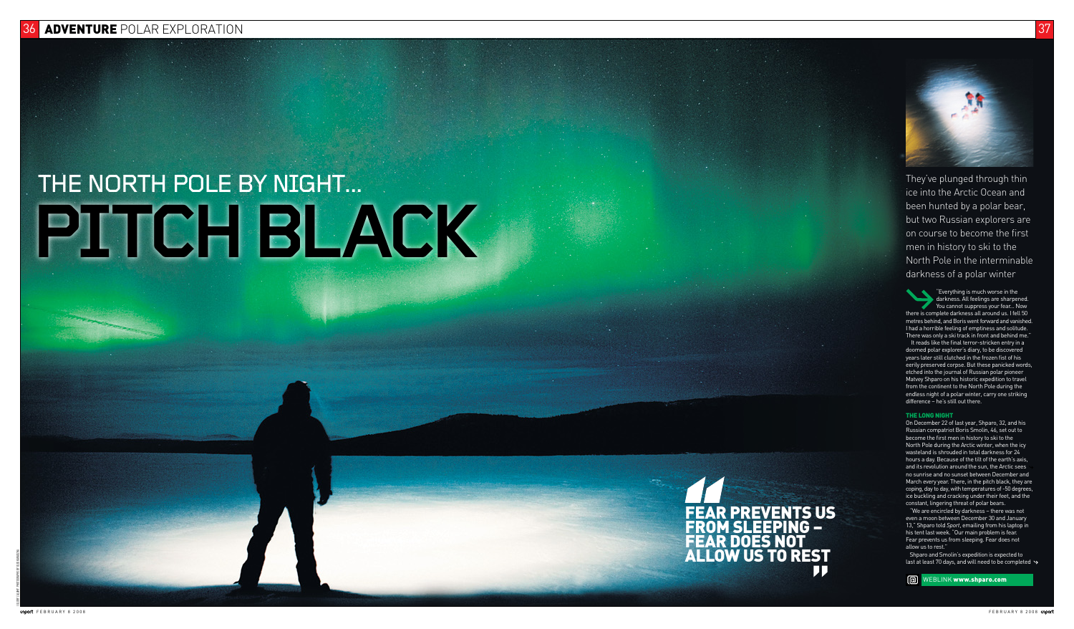# PITCH BLACK THE NORTH POLE BY NIGHT...

 It reads like the final terror-stricken entry in a doomed polar explorer's diary, to be discovered years later still clutched in the frozen fist of his eerily preserved corpse. But these panicked words, etched into the journal of Russian polar pioneer Matvey Shparo on his historic expedition to travel from the continent to the North Pole during the endless night of a polar winter, carry one striking difference – he's still out there.

### THE LONG NIGHT

 Shparo and Smolin's expedition is expected to last at least 70 days, and will need to be completed  $\rightarrow$ 

**[a]** WEBLINK www.shparo.com

On December 22 of last year, Shparo, 32, and his Russian compatriot Boris Smolin, 46, set out to become the first men in history to ski to the North Pole during the Arctic winter, when the icy wasteland is shrouded in total darkness for 24 hours a day. Because of the tilt of the earth's axis, and its revolution around the sun, the Arctic sees no sunrise and no sunset between December and March every year. There, in the pitch black, they are coping, day to day, with temperatures of -50 degrees, ice buckling and cracking under their feet, and the constant, lingering threat of polar bears.

"We are encircled by darkness – there was not even a moon between December 30 and January 13," Shparo told *Sport*, emailing from his laptop in his tent last week. "Our main problem is fear. Fear prevents us from sleeping. Fear does not allow us to rest."

They've plunged through thin ice into the Arctic Ocean and been hunted by a polar bear, but two Russian explorers are on course to become the first men in history to ski to the North Pole in the interminable darkness of a polar winter

"Everything is much worse in the darkness. All feelings are sharpened. You cannot suppress your fear... Now there is complete darkness all around us. I fell 50 metres behind, and Boris went forward and vanished. I had a horrible feeling of emptiness and solitude. There was only a ski track in front and behind me.'

**Oport** FEBRUARY 8 2008



37